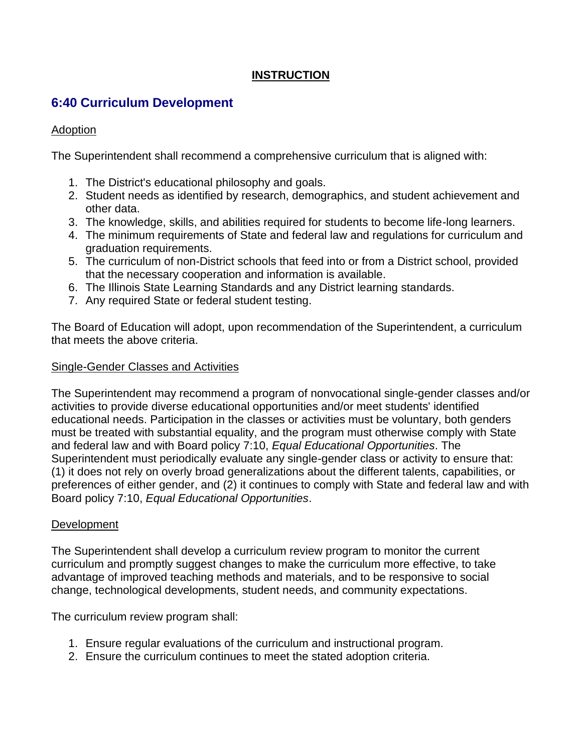# **INSTRUCTION**

# **6:40 Curriculum Development**

## Adoption

The Superintendent shall recommend a comprehensive curriculum that is aligned with:

- 1. The District's educational philosophy and goals.
- 2. Student needs as identified by research, demographics, and student achievement and other data.
- 3. The knowledge, skills, and abilities required for students to become life-long learners.
- 4. The minimum requirements of State and federal law and regulations for curriculum and graduation requirements.
- 5. The curriculum of non-District schools that feed into or from a District school, provided that the necessary cooperation and information is available.
- 6. The Illinois State Learning Standards and any District learning standards.
- 7. Any required State or federal student testing.

The Board of Education will adopt, upon recommendation of the Superintendent, a curriculum that meets the above criteria.

#### Single-Gender Classes and Activities

The Superintendent may recommend a program of nonvocational single-gender classes and/or activities to provide diverse educational opportunities and/or meet students' identified educational needs. Participation in the classes or activities must be voluntary, both genders must be treated with substantial equality, and the program must otherwise comply with State and federal law and with Board policy 7:10, *Equal Educational Opportunities*. The Superintendent must periodically evaluate any single-gender class or activity to ensure that: (1) it does not rely on overly broad generalizations about the different talents, capabilities, or preferences of either gender, and (2) it continues to comply with State and federal law and with Board policy 7:10, *Equal Educational Opportunities*.

## Development

The Superintendent shall develop a curriculum review program to monitor the current curriculum and promptly suggest changes to make the curriculum more effective, to take advantage of improved teaching methods and materials, and to be responsive to social change, technological developments, student needs, and community expectations.

The curriculum review program shall:

- 1. Ensure regular evaluations of the curriculum and instructional program.
- 2. Ensure the curriculum continues to meet the stated adoption criteria.